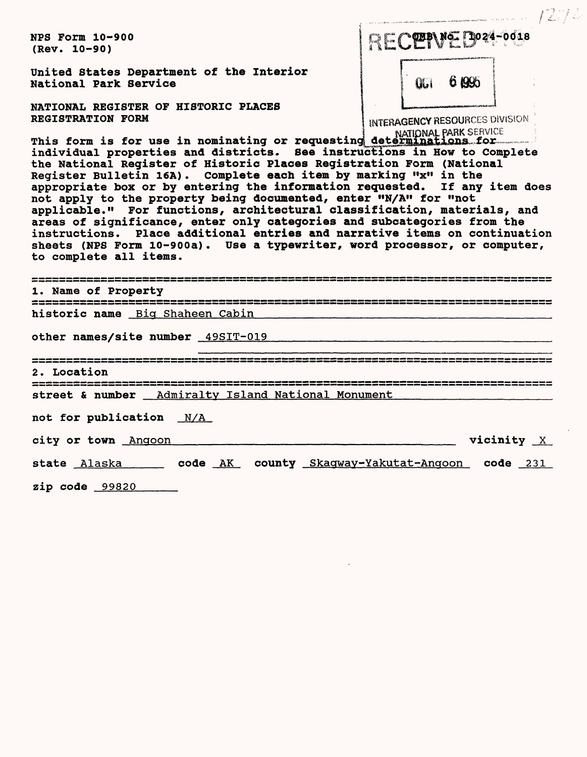NPS Form 10-900 (Rev. 10-90)

United States Department of the interior National Park Service

**NATIONAL REGISTER OF HISTORIC PLACES REGISTRATION FORM** 

|  |  |              |    |                                | <b>ME Do24-0018</b> |
|--|--|--------------|----|--------------------------------|---------------------|
|  |  |              |    |                                |                     |
|  |  | $\mathbf{b}$ | Qh |                                |                     |
|  |  |              |    |                                |                     |
|  |  |              |    | INTERAGENCY RESOURCES DIVISION |                     |

 $1272$ 

 $\blacksquare$   $\blacksquare$  NATIONAL PARK SERVICE This form is for use in nominating or requesting determinations for individual properties and districts. See instructions in How to Complete the National Register of Historic Places Registration Form (National Register Bulletin 16A). Complete each item by marking "x" in the appropriate box or by entering the information requested. If any item does not apply to the property being documented, enter "N/A" for "not applicable." For functions, architectural classification, materials, and areas of significance, enter only categories and subcategories from the instructions. Place additional entries and narrative items on continuation sheets (NPS Form I0-900a). Use a typewriter, word processor, or computer, to complete all items.

| 1. Name of Property                                           |
|---------------------------------------------------------------|
| historic name Big Shaheen Cabin                               |
| other names/site number 49SIT-019                             |
| 2. Location                                                   |
| street & number Admiralty Island National Monument            |
| not for publication N/A                                       |
| vicinity X<br>city or town Angoon                             |
| state Alaska . code AK county Skaqway-Yakutat-Angoon code 231 |
| zip $code$ $99820$                                            |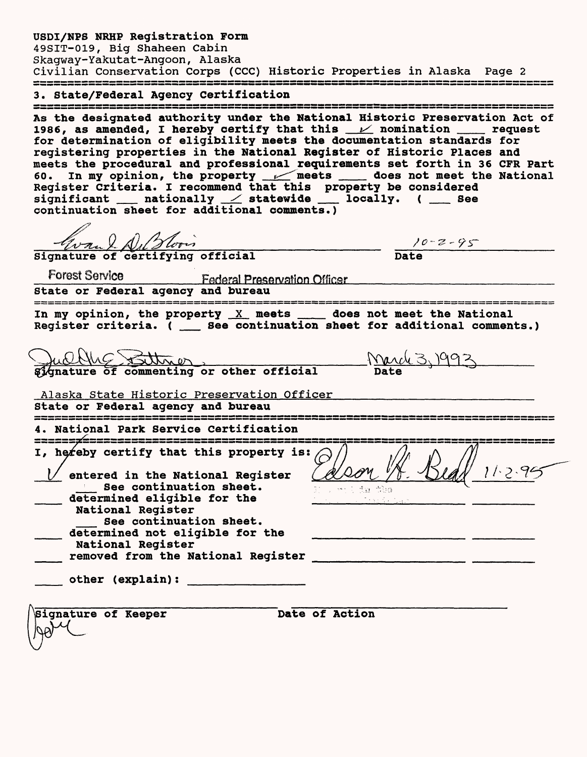| USDI/NPS NRHP Registration Form<br>49SIT-019, Big Shaheen Cabin<br>Skaqway-Yakutat-Angoon, Alaska<br>Civilian Conservation Corps (CCC) Historic Properties in Alaska Page 2                                                                                                                                                                                                                                                                                                                                                                                                                                                                                                 |                                  |
|-----------------------------------------------------------------------------------------------------------------------------------------------------------------------------------------------------------------------------------------------------------------------------------------------------------------------------------------------------------------------------------------------------------------------------------------------------------------------------------------------------------------------------------------------------------------------------------------------------------------------------------------------------------------------------|----------------------------------|
| 3. State/Federal Agency Certification                                                                                                                                                                                                                                                                                                                                                                                                                                                                                                                                                                                                                                       |                                  |
| As the designated authority under the National Historic Preservation Act of<br>1986, as amended, I hereby certify that this $\nu$ nomination $\ldots$ request<br>for determination of eligibility meets the documentation standards for<br>registering properties in the National Register of Historic Places and<br>meets the procedural and professional requirements set forth in 36 CFR Part<br>60. In my opinion, the property _____ meets _____ does not meet the National<br>Register Criteria. I recommend that this property be considered<br>significant ___ nationally $\angle$ statewide ___ locally. ( ___ See<br>continuation sheet for additional comments.) |                                  |
|                                                                                                                                                                                                                                                                                                                                                                                                                                                                                                                                                                                                                                                                             |                                  |
| June 2 All Slores                                                                                                                                                                                                                                                                                                                                                                                                                                                                                                                                                                                                                                                           | $\frac{10-2-95}{\text{Date}}$    |
| <b>Forest Service</b><br><b>Federal Preservation Officer</b>                                                                                                                                                                                                                                                                                                                                                                                                                                                                                                                                                                                                                |                                  |
| State or Federal agency and bureau                                                                                                                                                                                                                                                                                                                                                                                                                                                                                                                                                                                                                                          |                                  |
| In my opinion, the property $X$ meets $\_\_\_\$ does not meet the National<br>Register criteria. ( __ See continuation sheet for additional comments.)<br>Juelly Sitting or other official March 3, 1993<br>Alaska State Historic Preservation Officer<br>State or Federal agency and bureau<br>4. National Park Service Certification                                                                                                                                                                                                                                                                                                                                      |                                  |
|                                                                                                                                                                                                                                                                                                                                                                                                                                                                                                                                                                                                                                                                             |                                  |
| I, hereby certify that this property is: $\bigtriangleup$ /<br>entered in the National Register<br>See continuation sheet.<br>determined eligible for the<br>National Register<br>See continuation sheet.<br>determined not eligible for the<br>National Register<br>removed from the National Register                                                                                                                                                                                                                                                                                                                                                                     | $\bigwedge$<br>11.2.94<br>ia tea |
| other (explain):                                                                                                                                                                                                                                                                                                                                                                                                                                                                                                                                                                                                                                                            |                                  |

|                     |  |  | Date of Action |
|---------------------|--|--|----------------|
| Signature of Keeper |  |  |                |
|                     |  |  |                |
|                     |  |  |                |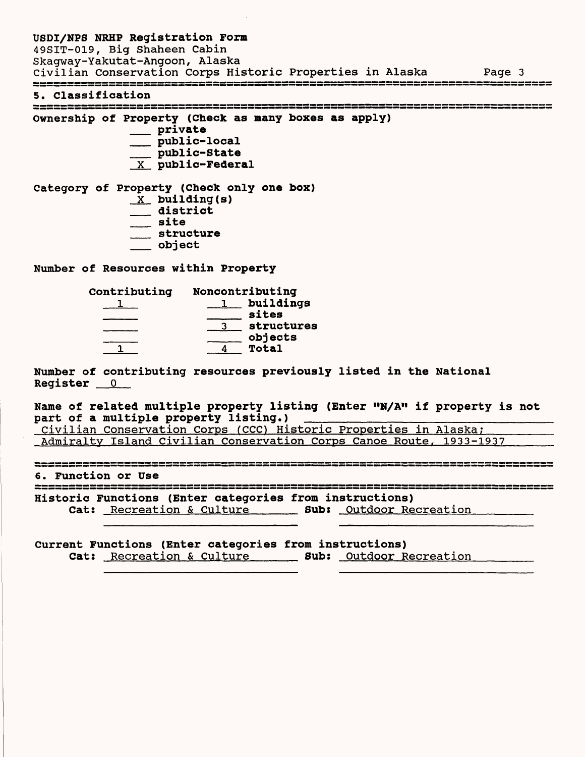| USDI/NPS NRHP Registration Form<br>49SIT-019, Big Shaheen Cabin<br>Skagway-Yakutat-Angoon, Alaska<br>Civilian Conservation Corps Historic Properties in Alaska<br>Page 3                                                                                      |
|---------------------------------------------------------------------------------------------------------------------------------------------------------------------------------------------------------------------------------------------------------------|
| .<br>وی کل کم کے بعد اللہ میں لوں کی میں اسے برائے اسے میں ایک میں کی ایک اسے نہیں ہیں اسے میں میں جی میں ایک ایک ب<br>5. Classification                                                                                                                      |
| Ownership of Property (Check as many boxes as apply)<br>__ private<br>__ public-local<br>public-State<br>X public-Federal                                                                                                                                     |
| Category of Property (Check only one box)<br>$X$ building(s)<br>___ district<br>__ site<br>structure<br>object                                                                                                                                                |
| Number of Resources within Property                                                                                                                                                                                                                           |
| Contributing Noncontributing<br>1 buildings<br>$\frac{1}{\sqrt{1-\frac{1}{2}}}$<br>$\frac{1}{\frac{3}{\frac{1}{4}}}$ sites<br>objects<br>$\frac{1}{1}$                                                                                                        |
| Number of contributing resources previously listed in the National<br>Register 0                                                                                                                                                                              |
| Name of related multiple property listing (Enter "N/A" if property is not<br>part of a multiple property listing.)<br>Civilian Conservation Corps (CCC) Historic Properties in Alaska;<br>Admiralty Island Civilian Conservation Corps Canoe Route, 1933-1937 |
| <b>Function or Use</b>                                                                                                                                                                                                                                        |
| Historic Functions (Enter categories from instructions)<br>Cat: Recreation & Culture ______ Sub: _Outdoor Recreation                                                                                                                                          |
| Current Functions (Enter categories from instructions)<br>Cat: Recreation & Culture 5ub: Outdoor Recreation                                                                                                                                                   |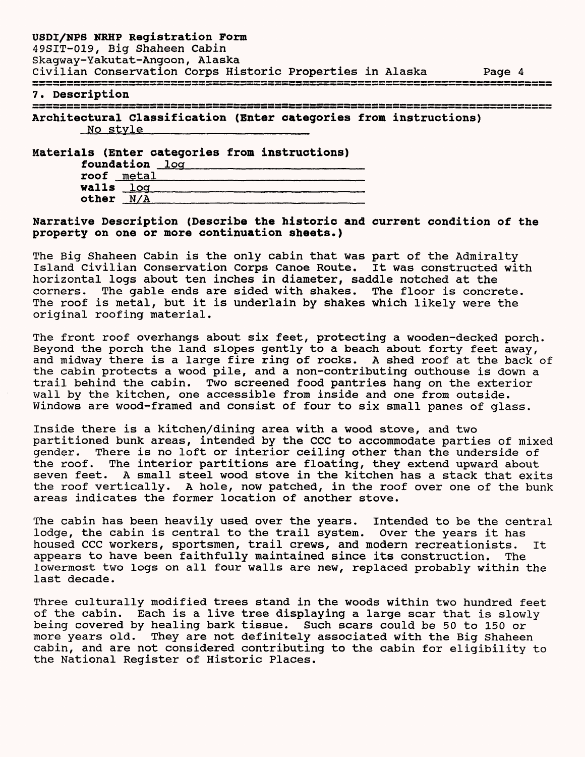| USDI/NPS NRHP Registration Form<br>49SIT-019, Big Shaheen Cabin<br>Skaqway-Yakutat-Angoon, Alaska<br>Civilian Conservation Corps Historic Properties in Alaska |  |  | Page 4 |  |
|----------------------------------------------------------------------------------------------------------------------------------------------------------------|--|--|--------|--|
| 7. Description                                                                                                                                                 |  |  |        |  |
| Architectural Classification (Enter categories from instructions)<br>No style                                                                                  |  |  |        |  |

**Materials (Enter categories from instructions)**

|                  | foundation log |
|------------------|----------------|
| roof metal       |                |
| walls <u>loq</u> |                |
| other N/A        |                |

## **Narrative Description (Describe the historic and current condition of the property on one or more continuation sheets.)**

The Big Shaheen Cabin is the only cabin that was part of the Admiralty Island Civilian Conservation Corps Canoe Route. It was constructed with horizontal logs about ten inches in diameter, saddle notched at the corners. The gable ends are sided with shakes. The floor is concrete. The roof is metal, but it is underlain by shakes which likely were the original roofing material.

The front roof overhangs about six feet, protecting a wooden-decked porch. Beyond the porch the land slopes gently to a beach about forty feet away, and midway there is a large fire ring of rocks. A shed roof at the back of the cabin protects a wood pile, and a non-contributing outhouse is down a trail behind the cabin. Two screened food pantries hang on the exterior wall by the kitchen, one accessible from inside and one from outside. Windows are wood-framed and consist of four to six small panes of glass.

Inside there is a kitchen/dining area with a wood stove, and two partitioned bunk areas, intended by the CCC to accommodate parties of mixed gender. There is no loft or interior ceiling other than the underside of the roof. The interior partitions are floating, they extend upward about seven feet. A small steel wood stove in the kitchen has a stack that exi-A small steel wood stove in the kitchen has a stack that exits the roof vertically. A hole, now patched, in the roof over one of the bunk areas indicates the former location of another stove.

The cabin has been heavily used over the years. Intended to be the central lodge, the cabin is central to the trail system. Over the years it has housed CCC workers, sportsmen, trail crews, and modern recreationists. It appears to have been faithfully maintained since its construction. The lowermost two logs on all four walls are new, replaced probably within the last decade.

Three culturally modified trees stand in the woods within two hundred feet of the cabin. Each is a live tree displaying a large scar that is slowly being covered by healing bark tissue. Such scars could be 50 to 150 or more years old. They are not definitely associated with the Big Shaheen cabin, and are not considered contributing to the cabin for eligibility to the National Register of Historic Places.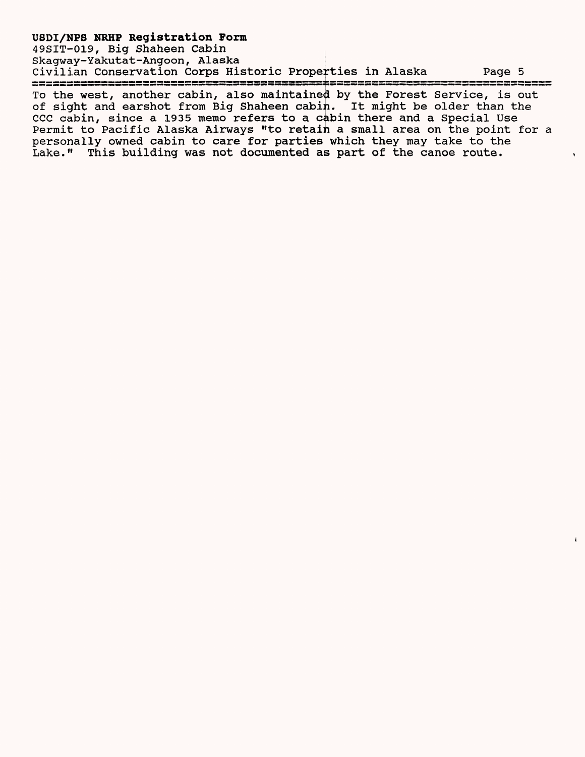## USDI/NPS NRHP Registration Form

49SIT-019, Big Shaheen Cabin Skagway-Yakutat-Angoon, Alaska Civilian Conservation Corps Historic Properties in Alaska Page 5

To the west, another cabin, also maintained by the Forest Service, is out of sight and earshot from Big Shaheen cabin. It might be older than the CCC cabin, since a 1935 memo refers to a cabin there and a Special Use Permit to Pacific Alaska Airways "to retain a small area on the point for a personally owned cabin to care for parties which they may take to the Lake." This building was not documented as part of the canoe route.

 $\mathbf{A}$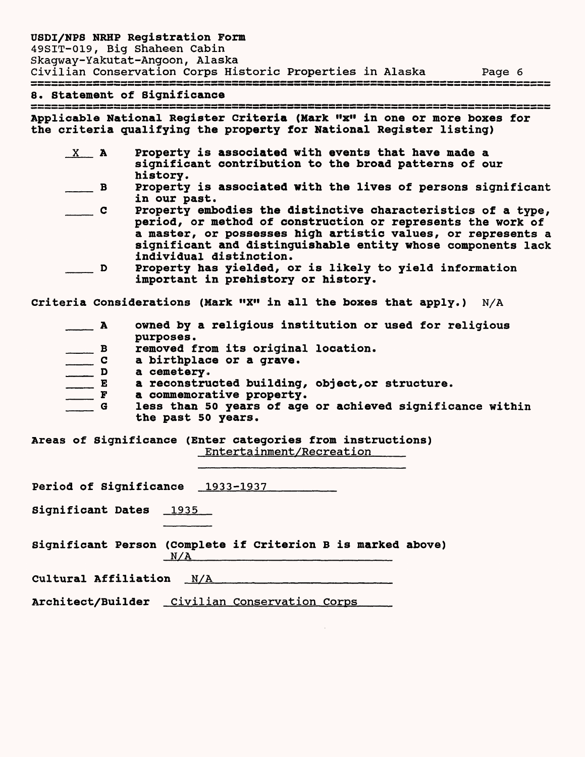| USDI/NPS NRHP Registration Form                                                                                                                                                           |        |
|-------------------------------------------------------------------------------------------------------------------------------------------------------------------------------------------|--------|
| 49SIT-019, Big Shaheen Cabin                                                                                                                                                              |        |
| Skaqway-Yakutat-Angoon, Alaska                                                                                                                                                            |        |
| Civilian Conservation Corps Historic Properties in Alaska                                                                                                                                 | Page 6 |
| کی ایک کا کہ دو سے میں کہ دو تک ہے تک کہ کہ تک کہ تک کہ تک کی تک کی تک کے لئے ہیں تک ایک کے لئے اس کے لئے تک کے لئے تک کے لئے تک کے لئے تک کے لئے تک کے لئے اس کے لئے جن کے لئے جن کے لئے |        |

8. Statement of Significance

Applicable National Register Criteria (Hark "x" in one or more boxes for the criteria qualifying the property for National Register listing)

- $X$  A Property is associated with events that have made a significant contribution to the broad patterns of our history.
- \_\_\_ B Property is associated with the lives of persons significant in our past.
- \_\_\_ C Property embodies the distinctive characteristics of a type, period, or method of construction or represents the work of a master, or possesses high artistic values, or represents a significant and distinguishable entity whose components lack individual distinction.
- \_\_\_ D Property has yielded, or is likely to yield information important in prehistory or history.

Criteria Considerations (Mark "X" in all the boxes that apply.) N/A

- \_\_\_ A owned by a religious institution or used for religious purposes. B removed from its original location.<br>
C a birthplace or a grave. a birthplace or a grave.<br>a cemetery.
	- $\frac{D}{E}$ E a reconstructed building, object, or structure.<br>
	F a commemorative property.
	-
	- F a commemorative property.<br>
	<u>G</u> less than 50 years of age less than 50 years of age or achieved significance within the past 50 years.

Areas of Significance (Enter categories from instructions) Entertainment/Recreation\_\_\_\_\_

Period of Significance 1933-1937

Significant Dates 1935

Significant Person (Complete if Criterion B is marked above)  $N/A$ 

Cultural Affiliation N/A

Architect/Builder Civilian Conservation Corps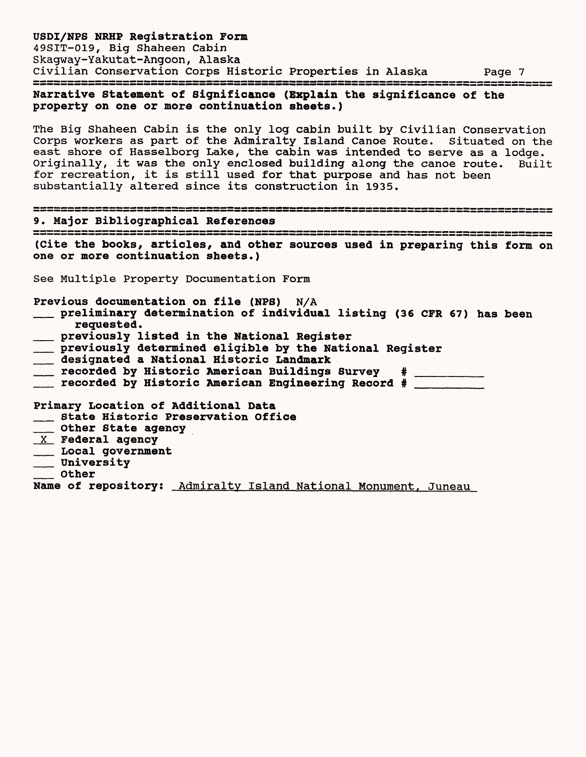## USDI/NPS NRHP Registration Form 49SIT-019, Big Shaheen Cabin Skagway-Yakutat-Angoon, Alaska Civilian Conservation Corps Historic Properties in Alaska Page 7

Narrative Statement of Significance (Explain the significance of the property on one or more continuation sheets.)

The Big Shaheen Cabin is the only log cabin built by Civilian Conservation Corps workers as part of the Admiralty Island Canoe Route. Situated on the east shore of Hasselborg Lake, the cabin was intended to serve as a lodge. Originally, it was the only enclosed building along the canoe route. Built for recreation, it is still used for that purpose and has not been substantially altered since its construction in 1935.

| ة من التي تحدد التي تحدد المن التي تحدد التي تحدد التي تحدد التي تحدد التي تحدد التي تحدد التي تحدد التي التي<br>كم عند التي يت عمر التي تحدد التي تحدد التي تحدد التي تحدد التي يت التي يت التي التي التي تحدد التي تحدد التي<br>9. Major Bibliographical References<br>arance an sult a sult a sult de la communicación de la comunicación de la comunicación de la comunicación de la comunicación de la comunicación de la comunicación de la comunicación de la comunicación de la comunicación de |
|---------------------------------------------------------------------------------------------------------------------------------------------------------------------------------------------------------------------------------------------------------------------------------------------------------------------------------------------------------------------------------------------------------------------------------------------------------------------------------------------------------|
| (Cite the books, articles, and other sources used in preparing this form on<br>one or more continuation sheets.)                                                                                                                                                                                                                                                                                                                                                                                        |
| See Multiple Property Documentation Form                                                                                                                                                                                                                                                                                                                                                                                                                                                                |
| Previous documentation on file (NPS) N/A<br>preliminary determination of individual listing (36 CFR 67) has been<br>requested.<br>__ previously listed in the National Register<br>previously determined eligible by the National Register<br>designated a National Historic Landmark<br>___ recorded by Historic American Buildings Survey # ________<br>____ recorded by Historic American Engineering Record # ______                                                                                |
| Primary Location of Additional Data<br>__ State Historic Preservation Office<br>___ Other State agency<br>$X$ Federal agency<br>___ Local government<br>__ University<br>___ Other<br>Name of repository: Admiralty Island National Monument, Juneau                                                                                                                                                                                                                                                    |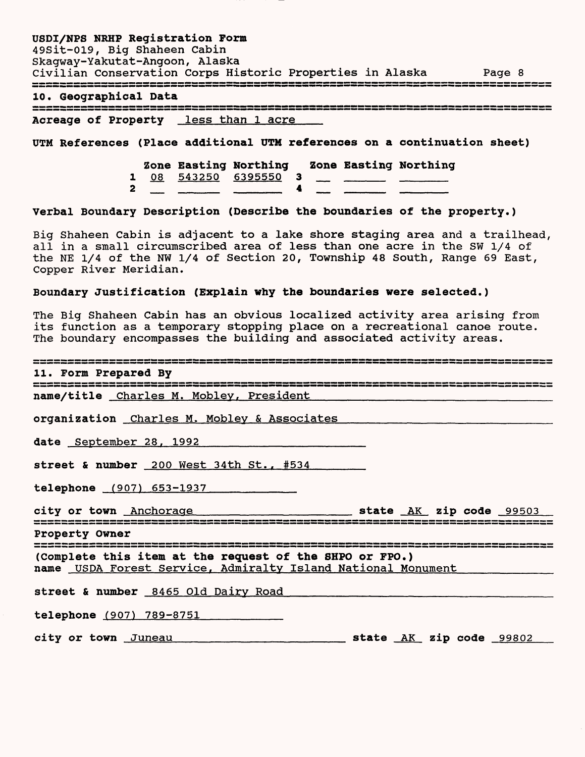USDI/NPS NRHP **Registration Form** 49Sit-019, Big Shaheen Cabin Skagway-Yakutat-Angoon, Alaska Civilian Conservation Corps Historic Properties in Alaska Page 8

**10. Geographical Data Acreage of Property** less than 1 acre

UTM **References (Place additional** UTM **references on a continuation sheet)**

**Zone Easting Northing Zone Easting Northing** 1 08 543250 6395550 3 \_ \_\_\_\_\_ \_\_\_\_\_\_  $2 - \frac{1}{2} - \frac{08}{243230} - \frac{0393330}{2393300} - \frac{3}{4} - \frac{1}{2} - \frac{1}{2} - \frac{1}{2} - \frac{1}{2} - \frac{1}{2} - \frac{1}{2} - \frac{1}{2} - \frac{1}{2} - \frac{1}{2} - \frac{1}{2} - \frac{1}{2} - \frac{1}{2} - \frac{1}{2} - \frac{1}{2} - \frac{1}{2} - \frac{1}{2} - \frac{1}{2} - \frac{1}{2} - \frac{1}{2} - \frac{1}{2} - \frac{1}{2} -$ 

Verbal Boundary Description (Describe the boundaries of the property.)

Big Shaheen Cabin is adjacent to a lake shore staging area and a trailhead, all in a small circumscribed area of less than one acre in the SW 1/4 of the NE 1/4 of the NW 1/4 of Section 20, Township 48 South, Range 69 East, Copper River Meridian.

### Boundary Justification (Explain why the boundaries were selected.)

The Big Shaheen Cabin has an obvious localized activity area arising from its function as a temporary stopping place on a recreational canoe route. The boundary encompasses the building and associated activity areas.

# 

11. Form Prepared By name/title Charles M. Mobley, President

organization Charles M. Mobley & Associates

date September 28, 1992

street & number 200 West 34th St., #534

**telephone** (907) 653-1937\_\_\_\_\_\_\_\_\_\_\_

city or town Anchorage\_\_\_\_\_\_\_\_\_\_\_\_\_\_\_\_\_\_ state AK zip code 99503

Property Owner (Complete this item at the request of the SHPO or FPO.)

name USDA Forest Service, Admiralty Island National Monument

street & number 8465 Old Dairy Road

telephone (907) 789-8751

 $city$  or town Juneau  $\frac{1}{100}$   $\frac{1}{100}$   $\frac{1}{100}$   $\frac{1}{100}$   $\frac{1}{100}$   $\frac{1}{100}$   $\frac{1}{100}$   $\frac{1}{100}$   $\frac{1}{100}$   $\frac{1}{100}$   $\frac{1}{100}$   $\frac{1}{100}$   $\frac{1}{100}$   $\frac{1}{100}$   $\frac{1}{100}$   $\frac{1}{100}$   $\frac{1}{100}$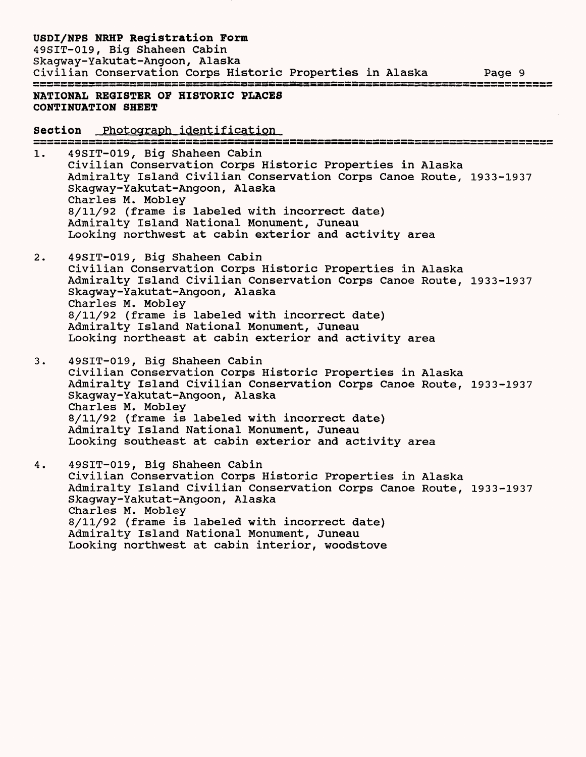U8DI/NPS NRHP **Registration Form** 49SIT-019, Big Shaheen Cabin Skagway-Yakutat-Angoon, Alaska Civilian Conservation Corps Historic Properties in Alaska Page 9 **NATIONAL REGISTER OF HISTORIC PLACES CONTINUATION SHEET** Section Photograph identification 49SIT-019, Big Shaheen Cabin  $1.$ Civilian Conservation Corps Historic Properties in Alaska Admiralty Island Civilian Conservation Corps Canoe Route, 1933-1937 Skagway-Yakutat-Angoon, Alaska Charles M. Mobley 8/11/92 (frame is labeled with incorrect date) Admiralty Island National Monument, Juneau Looking northwest at cabin exterior and activity area  $2.$ 49SIT-019, Big Shaheen Cabin Civilian Conservation Corps Historic Properties in Alaska Admiralty Island Civilian Conservation Corps Canoe Route, 1933-1937 Skagway-Yakutat-Angoon, Alaska Charles M. Mobley 8/11/92 (frame is labeled with incorrect date) Admiralty Island National Monument, Juneau Looking northeast at cabin exterior and activity area  $3.$ 49SIT-019, Big Shaheen Cabin Civilian Conservation Corps Historic Properties in Alaska Admiralty Island Civilian Conservation Corps Canoe Route, 1933-1937 Skagway-Yakutat-Angoon, Alaska Charles M. Mobley 8/11/92 (frame is labeled with incorrect date) Admiralty Island National Monument, Juneau Looking southeast at cabin exterior and activity area 49SIT-019, Big Shaheen Cabin 4. Civilian Conservation Corps Historic Properties in Alaska Admiralty Island Civilian Conservation Corps Canoe Route, 1933-1937 Skagway-Yakutat-Angoon, Alaska Charles M. Mobley 8/11/92 (frame is labeled with incorrect date) Admiralty Island National Monument, Juneau Looking northwest at cabin interior, woodstove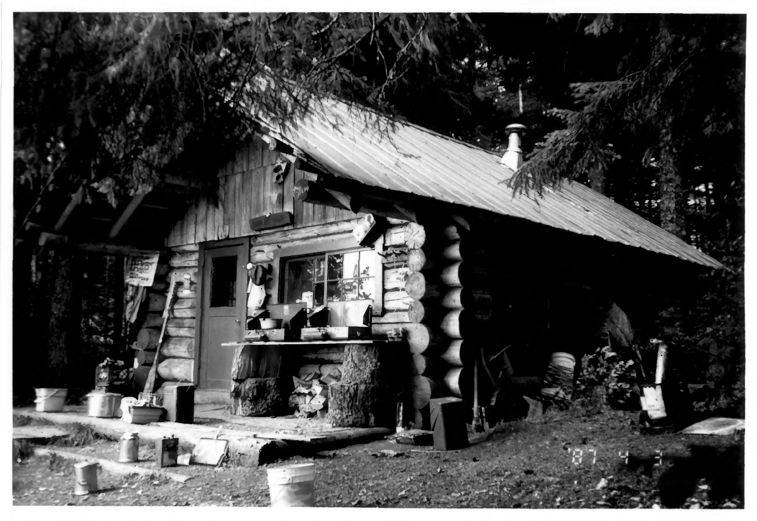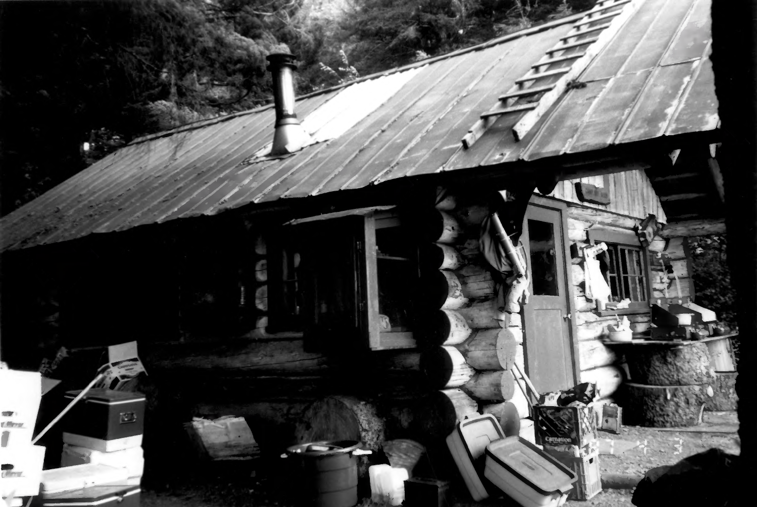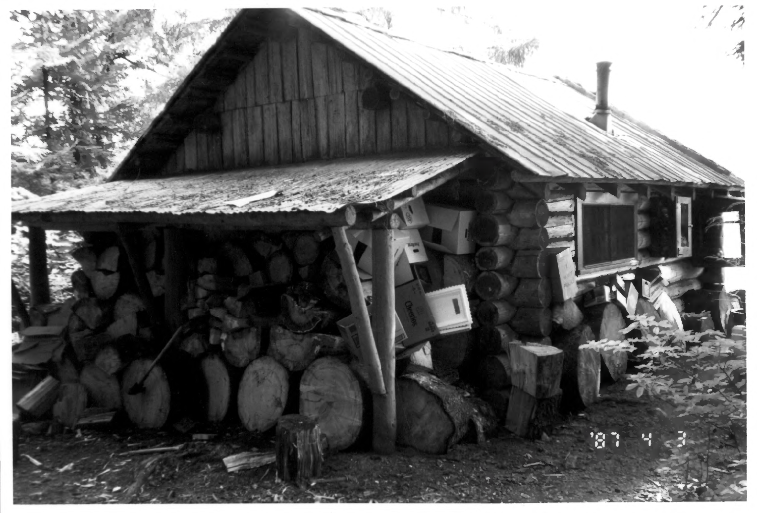